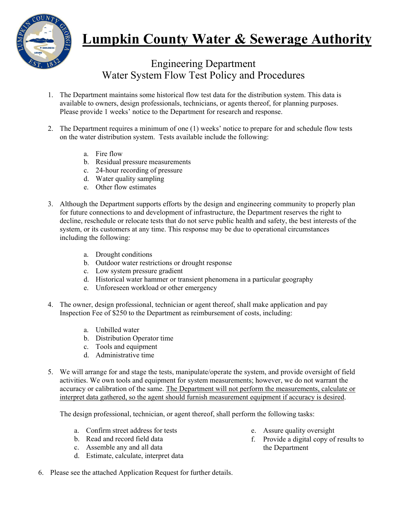

## **Lumpkin County Water & Sewerage Authority**

Engineering Department Water System Flow Test Policy and Procedures

- 1. The Department maintains some historical flow test data for the distribution system. This data is available to owners, design professionals, technicians, or agents thereof, for planning purposes. Please provide 1 weeks' notice to the Department for research and response.
- 2. The Department requires a minimum of one (1) weeks' notice to prepare for and schedule flow tests on the water distribution system. Tests available include the following:
	- a. Fire flow
	- b. Residual pressure measurements
	- c. 24-hour recording of pressure
	- d. Water quality sampling
	- e. Other flow estimates
- 3. Although the Department supports efforts by the design and engineering community to properly plan for future connections to and development of infrastructure, the Department reserves the right to decline, reschedule or relocate tests that do not serve public health and safety, the best interests of the system, or its customers at any time. This response may be due to operational circumstances including the following:
	- a. Drought conditions
	- b. Outdoor water restrictions or drought response
	- c. Low system pressure gradient
	- d. Historical water hammer or transient phenomena in a particular geography
	- e. Unforeseen workload or other emergency
- 4. The owner, design professional, technician or agent thereof, shall make application and pay Inspection Fee of \$250 to the Department as reimbursement of costs, including:
	- a. Unbilled water
	- b. Distribution Operator time
	- c. Tools and equipment
	- d. Administrative time
- 5. We will arrange for and stage the tests, manipulate/operate the system, and provide oversight of field activities. We own tools and equipment for system measurements; however, we do not warrant the accuracy or calibration of the same. The Department will not perform the measurements, calculate or interpret data gathered, so the agent should furnish measurement equipment if accuracy is desired.

The design professional, technician, or agent thereof, shall perform the following tasks:

- a. Confirm street address for tests
- b. Read and record field data
- c. Assemble any and all data
- d. Estimate, calculate, interpret data
- e. Assure quality oversight
- f. Provide a digital copy of results to the Department
- 6. Please see the attached Application Request for further details.